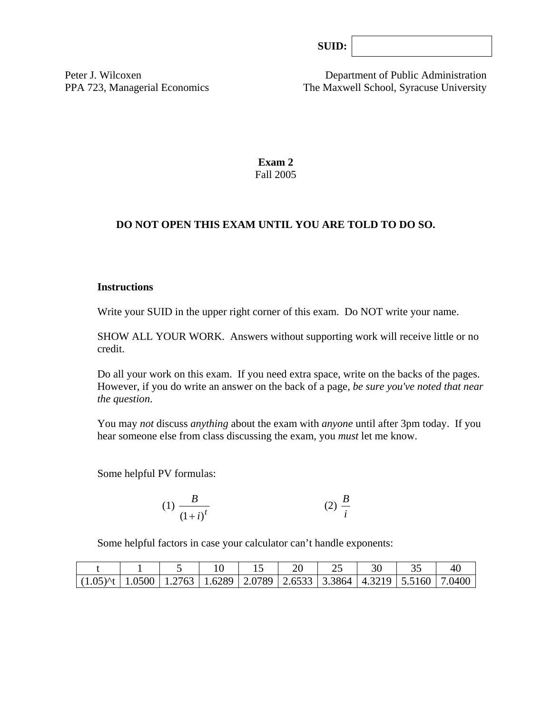| SUB: |  |
|------|--|
|      |  |

Peter J. Wilcoxen Department of Public Administration PPA 723, Managerial Economics The Maxwell School, Syracuse University

> **Exam 2**  Fall 2005

### **DO NOT OPEN THIS EXAM UNTIL YOU ARE TOLD TO DO SO.**

#### **Instructions**

Write your SUID in the upper right corner of this exam. Do NOT write your name.

SHOW ALL YOUR WORK. Answers without supporting work will receive little or no credit.

Do all your work on this exam. If you need extra space, write on the backs of the pages. However, if you do write an answer on the back of a page, *be sure you've noted that near the question*.

You may *not* discuss *anything* about the exam with *anyone* until after 3pm today. If you hear someone else from class discussing the exam, you *must* let me know.

Some helpful PV formulas:

(1) 
$$
\frac{B}{(1+i)^t}
$$
 (2)  $\frac{B}{i}$ 

Some helpful factors in case your calculator can't handle exponents:

| $(1.05)$ ^t $(1.0500)$ $(1.2763)$ $(1.6289)$ $(2.0789)$ $(2.6533)$ $(3.3864)$ $(4.3219)$ $(5.5160)$ $(7.0400)$ |  |  |  |  |  |
|----------------------------------------------------------------------------------------------------------------|--|--|--|--|--|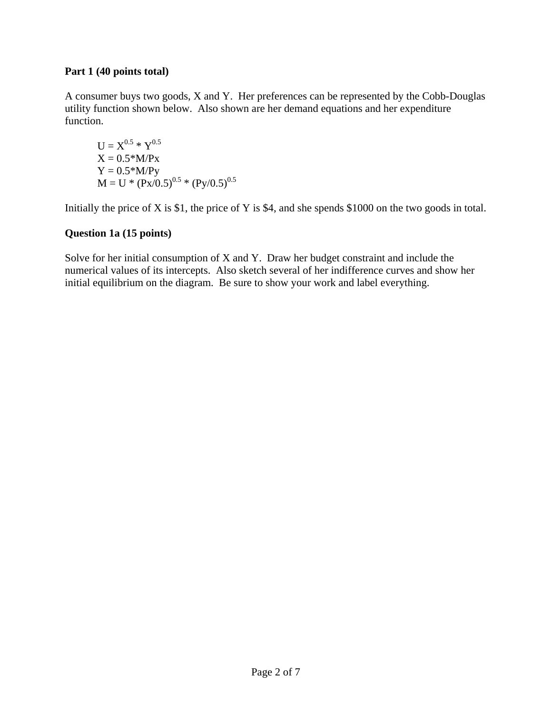#### **Part 1 (40 points total)**

A consumer buys two goods, X and Y. Her preferences can be represented by the Cobb-Douglas utility function shown below. Also shown are her demand equations and her expenditure function.

$$
U = X^{0.5} * Y^{0.5}
$$
  
\n
$$
X = 0.5 * M/Px
$$
  
\n
$$
Y = 0.5 * M/Py
$$
  
\n
$$
M = U * (Px/0.5)^{0.5} * (Py/0.5)^{0.5}
$$

Initially the price of X is \$1, the price of Y is \$4, and she spends \$1000 on the two goods in total.

## **Question 1a (15 points)**

Solve for her initial consumption of X and Y. Draw her budget constraint and include the numerical values of its intercepts. Also sketch several of her indifference curves and show her initial equilibrium on the diagram. Be sure to show your work and label everything.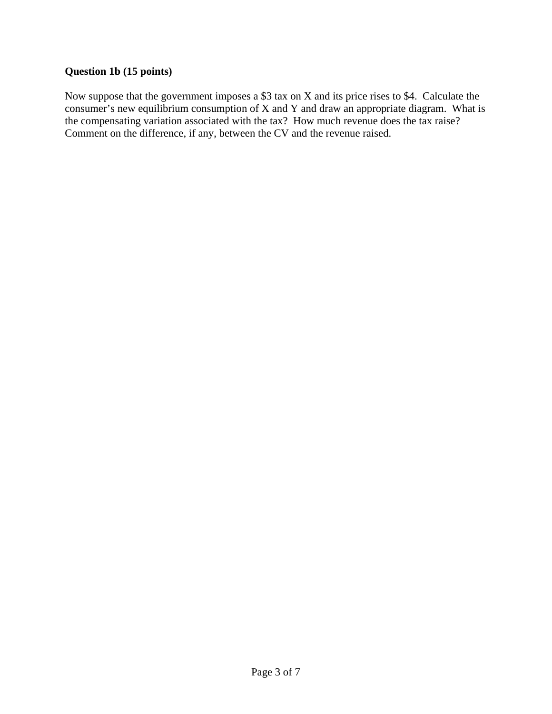# **Question 1b (15 points)**

Now suppose that the government imposes a \$3 tax on X and its price rises to \$4. Calculate the consumer's new equilibrium consumption of X and Y and draw an appropriate diagram. What is the compensating variation associated with the tax? How much revenue does the tax raise? Comment on the difference, if any, between the CV and the revenue raised.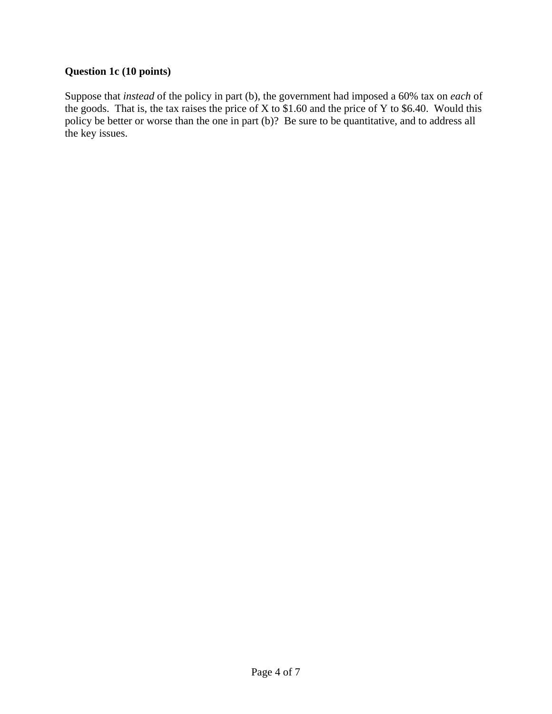# **Question 1c (10 points)**

Suppose that *instead* of the policy in part (b), the government had imposed a 60% tax on *each* of the goods. That is, the tax raises the price of X to  $$1.60$  and the price of Y to  $$6.40$ . Would this policy be better or worse than the one in part (b)? Be sure to be quantitative, and to address all the key issues.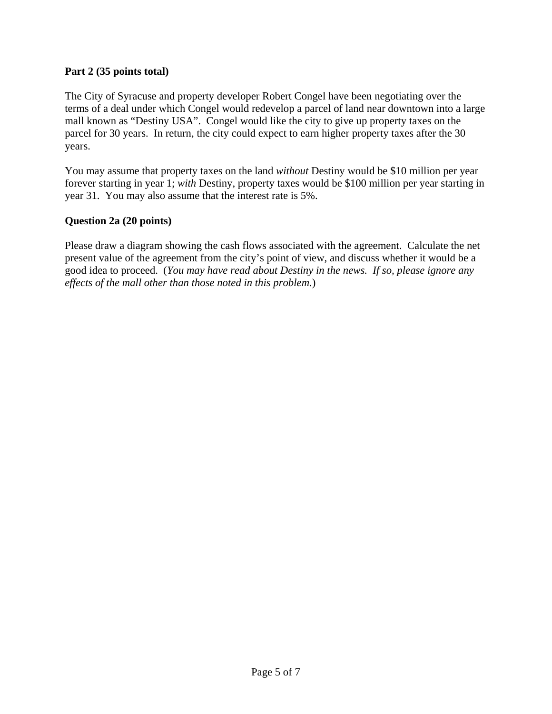#### **Part 2 (35 points total)**

The City of Syracuse and property developer Robert Congel have been negotiating over the terms of a deal under which Congel would redevelop a parcel of land near downtown into a large mall known as "Destiny USA". Congel would like the city to give up property taxes on the parcel for 30 years. In return, the city could expect to earn higher property taxes after the 30 years.

You may assume that property taxes on the land *without* Destiny would be \$10 million per year forever starting in year 1; *with* Destiny, property taxes would be \$100 million per year starting in year 31. You may also assume that the interest rate is 5%.

#### **Question 2a (20 points)**

Please draw a diagram showing the cash flows associated with the agreement. Calculate the net present value of the agreement from the city's point of view, and discuss whether it would be a good idea to proceed. (*You may have read about Destiny in the news. If so, please ignore any effects of the mall other than those noted in this problem.*)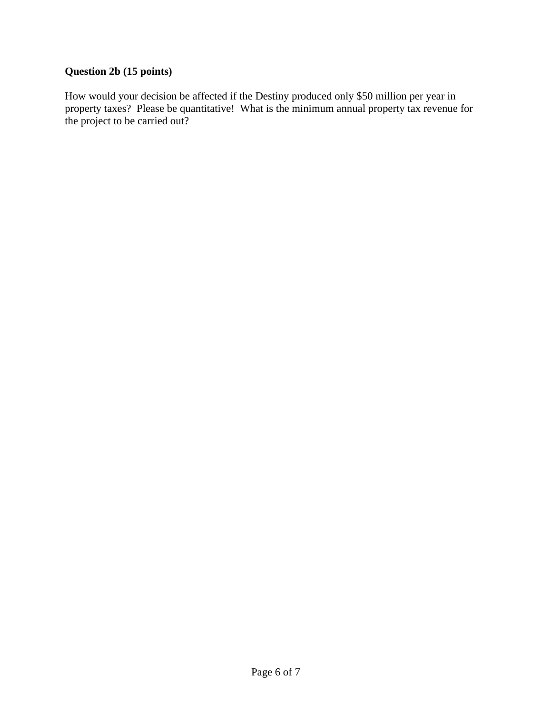# **Question 2b (15 points)**

How would your decision be affected if the Destiny produced only \$50 million per year in property taxes? Please be quantitative! What is the minimum annual property tax revenue for the project to be carried out?